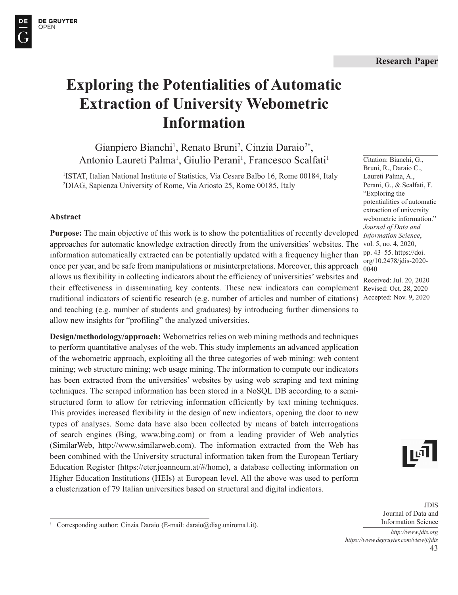Citation: Bianchi, G., Bruni, R., Daraio C., Laureti Palma, A., Perani, G., & Scalfati, F. "Exploring the

potentialities of automatic extraction of university webometric information." *Journal of Data and Information Science*,

pp. 43–55. https://doi. org/10.2478/jdis-2020-

Received: Jul. 20, 2020

0040



# **Exploring the Potentialities of Automatic Extraction of University Webometric Information**

Gianpiero Bianchi<sup>1</sup>, Renato Bruni<sup>2</sup>, Cinzia Daraio<sup>2†</sup>, Antonio Laureti Palma<sup>1</sup>, Giulio Perani<sup>1</sup>, Francesco Scalfati<sup>1</sup>

<sup>1</sup>ISTAT, Italian National Institute of Statistics, Via Cesare Balbo 16, Rome 00184, Italy 2 DIAG, Sapienza University of Rome, Via Ariosto 25, Rome 00185, Italy

#### **Abstract**

**Purpose:** The main objective of this work is to show the potentialities of recently developed approaches for automatic knowledge extraction directly from the universities' websites. The information automatically extracted can be potentially updated with a frequency higher than once per year, and be safe from manipulations or misinterpretations. Moreover, this approach allows us flexibility in collecting indicators about the efficiency of universities' websites and their effectiveness in disseminating key contents. These new indicators can complement Revised: Oct. 28, 2020 traditional indicators of scientific research (e.g. number of articles and number of citations) Accepted: Nov. 9, 2020and teaching (e.g. number of students and graduates) by introducing further dimensions to allow new insights for "profiling" the analyzed universities. vol. 5, no. 4, 2020,

**Design/methodology/approach:** Webometrics relies on web mining methods and techniques to perform quantitative analyses of the web. This study implements an advanced application of the webometric approach, exploiting all the three categories of web mining: web content mining; web structure mining; web usage mining. The information to compute our indicators has been extracted from the universities' websites by using web scraping and text mining techniques. The scraped information has been stored in a NoSQL DB according to a semistructured form to allow for retrieving information efficiently by text mining techniques. This provides increased flexibility in the design of new indicators, opening the door to new types of analyses. Some data have also been collected by means of batch interrogations of search engines (Bing, www.bing.com) or from a leading provider of Web analytics (SimilarWeb, http://www.similarweb.com). The information extracted from the Web has been combined with the University structural information taken from the European Tertiary Education Register (https://eter.joanneum.at/#/home), a database collecting information on Higher Education Institutions (HEIs) at European level. All the above was used to perform a clusterization of 79 Italian universities based on structural and digital indicators.

ا آی ||

JDIS Journal of Data and Information Science

43 *http://www.jdis.org https://www.degruyter.com/view/j/jdis*



<sup>†</sup> Corresponding author: Cinzia Daraio (E-mail: daraio@diag.uniroma1.it).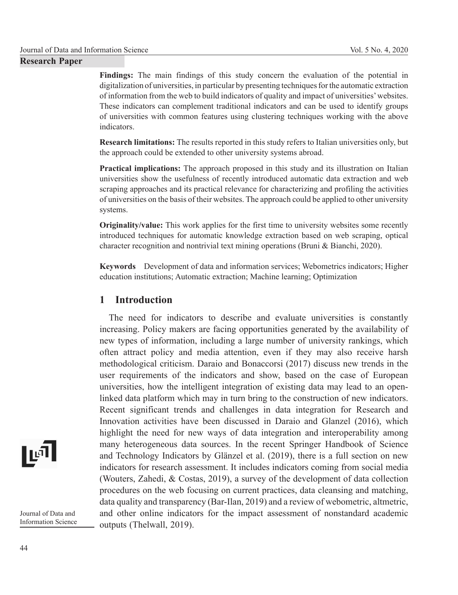**Findings:** The main findings of this study concern the evaluation of the potential in digitalization of universities, in particular by presenting techniques for the automatic extraction of information from the web to build indicators of quality and impact of universities' websites. These indicators can complement traditional indicators and can be used to identify groups of universities with common features using clustering techniques working with the above indicators.

**Research limitations:** The results reported in this study refers to Italian universities only, but the approach could be extended to other university systems abroad.

**Practical implications:** The approach proposed in this study and its illustration on Italian universities show the usefulness of recently introduced automatic data extraction and web scraping approaches and its practical relevance for characterizing and profiling the activities of universities on the basis of their websites. The approach could be applied to other university systems.

**Originality/value:** This work applies for the first time to university websites some recently introduced techniques for automatic knowledge extraction based on web scraping, optical character recognition and nontrivial text mining operations (Bruni & Bianchi, 2020).

**Keywords** Development of data and information services; Webometrics indicators; Higher education institutions; Automatic extraction; Machine learning; Optimization

## **1 Introduction**

The need for indicators to describe and evaluate universities is constantly increasing. Policy makers are facing opportunities generated by the availability of new types of information, including a large number of university rankings, which often attract policy and media attention, even if they may also receive harsh methodological criticism. Daraio and Bonaccorsi (2017) discuss new trends in the user requirements of the indicators and show, based on the case of European universities, how the intelligent integration of existing data may lead to an openlinked data platform which may in turn bring to the construction of new indicators. Recent significant trends and challenges in data integration for Research and Innovation activities have been discussed in Daraio and Glanzel (2016), which highlight the need for new ways of data integration and interoperability among many heterogeneous data sources. In the recent Springer Handbook of Science and Technology Indicators by Glänzel et al. (2019), there is a full section on new indicators for research assessment. It includes indicators coming from social media (Wouters, Zahedi, & Costas, 2019), a survey of the development of data collection procedures on the web focusing on current practices, data cleansing and matching, data quality and transparency (Bar-Ilan, 2019) and a review of webometric, altmetric, and other online indicators for the impact assessment of nonstandard academic outputs (Thelwall, 2019).

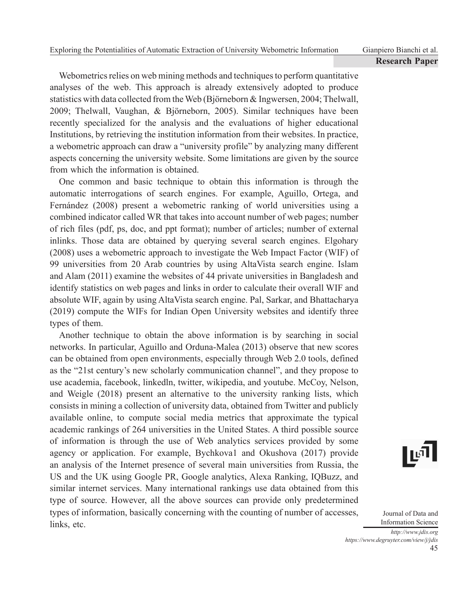Webometrics relies on web mining methods and techniques to perform quantitative analyses of the web. This approach is already extensively adopted to produce statistics with data collected from the Web (Björneborn & Ingwersen, 2004; Thelwall, 2009; Thelwall, Vaughan, & Björneborn, 2005). Similar techniques have been recently specialized for the analysis and the evaluations of higher educational Institutions, by retrieving the institution information from their websites. In practice, a webometric approach can draw a "university profile" by analyzing many different aspects concerning the university website. Some limitations are given by the source from which the information is obtained.

One common and basic technique to obtain this information is through the automatic interrogations of search engines. For example, Aguillo, Ortega, and Fernández (2008) present a webometric ranking of world universities using a combined indicator called WR that takes into account number of web pages; number of rich files (pdf, ps, doc, and ppt format); number of articles; number of external inlinks. Those data are obtained by querying several search engines. Elgohary (2008) uses a webometric approach to investigate the Web Impact Factor (WIF) of 99 universities from 20 Arab countries by using AltaVista search engine. Islam and Alam (2011) examine the websites of 44 private universities in Bangladesh and identify statistics on web pages and links in order to calculate their overall WIF and absolute WIF, again by using AltaVista search engine. Pal, Sarkar, and Bhattacharya (2019) compute the WIFs for Indian Open University websites and identify three types of them.

Another technique to obtain the above information is by searching in social networks. In particular, Aguillo and Orduna-Malea (2013) observe that new scores can be obtained from open environments, especially through Web 2.0 tools, defined as the "21st century's new scholarly communication channel", and they propose to use academia, facebook, linkedln, twitter, wikipedia, and youtube. McCoy, Nelson, and Weigle (2018) present an alternative to the university ranking lists, which consists in mining a collection of university data, obtained from Twitter and publicly available online, to compute social media metrics that approximate the typical academic rankings of 264 universities in the United States. A third possible source of information is through the use of Web analytics services provided by some agency or application. For example, Bychkova1 and Okushova (2017) provide an analysis of the Internet presence of several main universities from Russia, the US and the UK using Google PR, Google analytics, Alexa Ranking, IQBuzz, and similar internet services. Many international rankings use data obtained from this type of source. However, all the above sources can provide only predetermined types of information, basically concerning with the counting of number of accesses, links, etc.

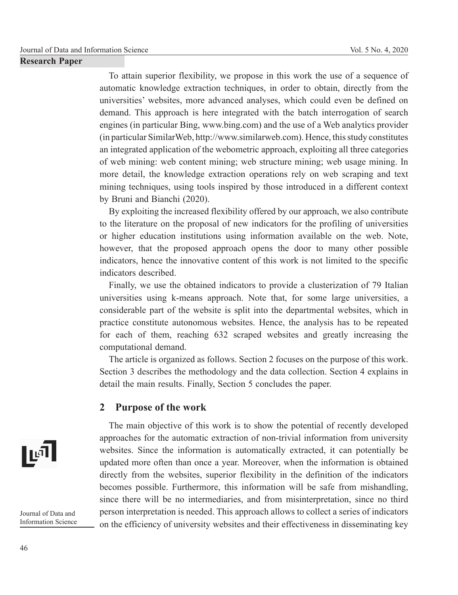To attain superior flexibility, we propose in this work the use of a sequence of automatic knowledge extraction techniques, in order to obtain, directly from the universities' websites, more advanced analyses, which could even be defined on demand. This approach is here integrated with the batch interrogation of search engines (in particular Bing, www.bing.com) and the use of a Web analytics provider (in particular SimilarWeb, http://www.similarweb.com). Hence, this study constitutes an integrated application of the webometric approach, exploiting all three categories of web mining: web content mining; web structure mining; web usage mining. In more detail, the knowledge extraction operations rely on web scraping and text mining techniques, using tools inspired by those introduced in a different context by Bruni and Bianchi (2020).

By exploiting the increased flexibility offered by our approach, we also contribute to the literature on the proposal of new indicators for the profiling of universities or higher education institutions using information available on the web. Note, however, that the proposed approach opens the door to many other possible indicators, hence the innovative content of this work is not limited to the specific indicators described.

Finally, we use the obtained indicators to provide a clusterization of 79 Italian universities using k-means approach. Note that, for some large universities, a considerable part of the website is split into the departmental websites, which in practice constitute autonomous websites. Hence, the analysis has to be repeated for each of them, reaching 632 scraped websites and greatly increasing the computational demand.

The article is organized as follows. Section 2 focuses on the purpose of this work. Section 3 describes the methodology and the data collection. Section 4 explains in detail the main results. Finally, Section 5 concludes the paper.

## **2 Purpose of the work**

The main objective of this work is to show the potential of recently developed approaches for the automatic extraction of non-trivial information from university websites. Since the information is automatically extracted, it can potentially be updated more often than once a year. Moreover, when the information is obtained directly from the websites, superior flexibility in the definition of the indicators becomes possible. Furthermore, this information will be safe from mishandling, since there will be no intermediaries, and from misinterpretation, since no third person interpretation is needed. This approach allows to collect a series of indicators on the efficiency of university websites and their effectiveness in disseminating key

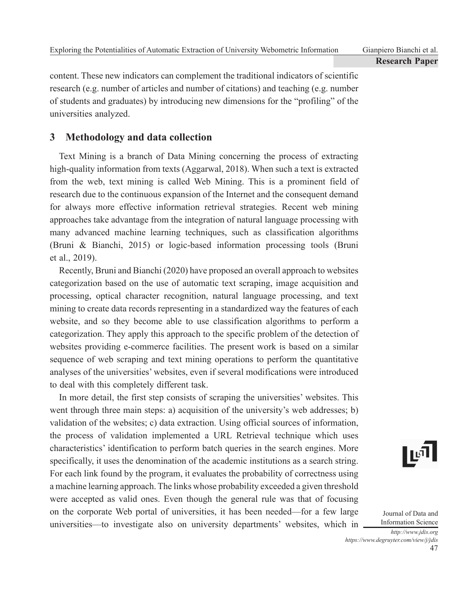content. These new indicators can complement the traditional indicators of scientific research (e.g. number of articles and number of citations) and teaching (e.g. number of students and graduates) by introducing new dimensions for the "profiling" of the universities analyzed.

# **3 Methodology and data collection**

Text Mining is a branch of Data Mining concerning the process of extracting high-quality information from texts (Aggarwal, 2018). When such a text is extracted from the web, text mining is called Web Mining. This is a prominent field of research due to the continuous expansion of the Internet and the consequent demand for always more effective information retrieval strategies. Recent web mining approaches take advantage from the integration of natural language processing with many advanced machine learning techniques, such as classification algorithms (Bruni & Bianchi, 2015) or logic-based information processing tools (Bruni et al., 2019).

Recently, Bruni and Bianchi (2020) have proposed an overall approach to websites categorization based on the use of automatic text scraping, image acquisition and processing, optical character recognition, natural language processing, and text mining to create data records representing in a standardized way the features of each website, and so they become able to use classification algorithms to perform a categorization. They apply this approach to the specific problem of the detection of websites providing e-commerce facilities. The present work is based on a similar sequence of web scraping and text mining operations to perform the quantitative analyses of the universities' websites, even if several modifications were introduced to deal with this completely different task.

In more detail, the first step consists of scraping the universities' websites. This went through three main steps: a) acquisition of the university's web addresses; b) validation of the websites; c) data extraction. Using official sources of information, the process of validation implemented a URL Retrieval technique which uses characteristics' identification to perform batch queries in the search engines. More specifically, it uses the denomination of the academic institutions as a search string. For each link found by the program, it evaluates the probability of correctness using a machine learning approach. The links whose probability exceeded a given threshold were accepted as valid ones. Even though the general rule was that of focusing on the corporate Web portal of universities, it has been needed—for a few large universities—to investigate also on university departments' websites, which in

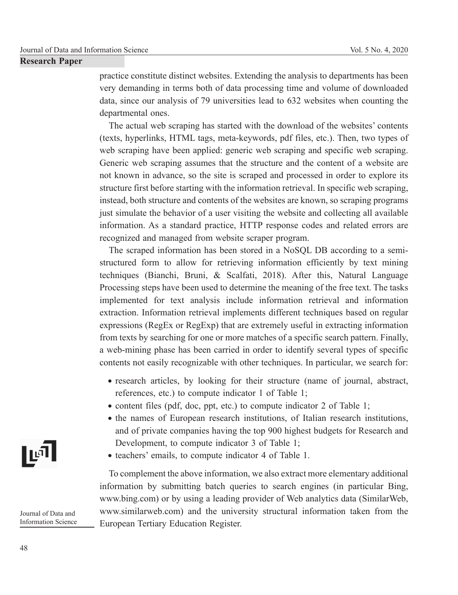practice constitute distinct websites. Extending the analysis to departments has been very demanding in terms both of data processing time and volume of downloaded data, since our analysis of 79 universities lead to 632 websites when counting the departmental ones.

The actual web scraping has started with the download of the websites' contents (texts, hyperlinks, HTML tags, meta-keywords, pdf files, etc.). Then, two types of web scraping have been applied: generic web scraping and specific web scraping. Generic web scraping assumes that the structure and the content of a website are not known in advance, so the site is scraped and processed in order to explore its structure first before starting with the information retrieval. In specific web scraping, instead, both structure and contents of the websites are known, so scraping programs just simulate the behavior of a user visiting the website and collecting all available information. As a standard practice, HTTP response codes and related errors are recognized and managed from website scraper program.

The scraped information has been stored in a NoSQL DB according to a semistructured form to allow for retrieving information efficiently by text mining techniques (Bianchi, Bruni, & Scalfati, 2018). After this, Natural Language Processing steps have been used to determine the meaning of the free text. The tasks implemented for text analysis include information retrieval and information extraction. Information retrieval implements different techniques based on regular expressions (RegEx or RegExp) that are extremely useful in extracting information from texts by searching for one or more matches of a specific search pattern. Finally, a web-mining phase has been carried in order to identify several types of specific contents not easily recognizable with other techniques. In particular, we search for:

- research articles, by looking for their structure (name of journal, abstract, references, etc.) to compute indicator 1 of Table 1;
- content files (pdf, doc, ppt, etc.) to compute indicator 2 of Table 1;
- the names of European research institutions, of Italian research institutions, and of private companies having the top 900 highest budgets for Research and Development, to compute indicator 3 of Table 1;
- teachers' emails, to compute indicator 4 of Table 1.

To complement the above information, we also extract more elementary additional information by submitting batch queries to search engines (in particular Bing, www.bing.com) or by using a leading provider of Web analytics data (SimilarWeb, www.similarweb.com) and the university structural information taken from the European Tertiary Education Register.

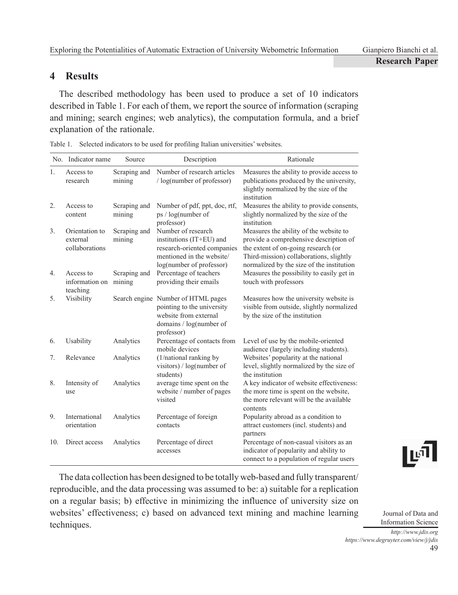# **4 Results**

The described methodology has been used to produce a set of 10 indicators described in Table 1. For each of them, we report the source of information (scraping and mining; search engines; web analytics), the computation formula, and a brief explanation of the rationale.

|                | No. Indicator name                           | Source                 | Description                                                                                                                            | Rationale                                                                                                                                                                                                       |
|----------------|----------------------------------------------|------------------------|----------------------------------------------------------------------------------------------------------------------------------------|-----------------------------------------------------------------------------------------------------------------------------------------------------------------------------------------------------------------|
| $\mathbf{1}$ . | Access to<br>research                        | Scraping and<br>mining | Number of research articles<br>$\log$ (number of professor)                                                                            | Measures the ability to provide access to<br>publications produced by the university,<br>slightly normalized by the size of the<br>institution                                                                  |
| 2.             | Access to<br>content                         | Scraping and<br>mining | Number of pdf, ppt, doc, rtf,<br>ps / log(number of<br>professor)                                                                      | Measures the ability to provide consents,<br>slightly normalized by the size of the<br>institution                                                                                                              |
| 3.             | Orientation to<br>external<br>collaborations | Scraping and<br>mining | Number of research<br>institutions (IT+EU) and<br>research-oriented companies<br>mentioned in the website/<br>log(number of professor) | Measures the ability of the website to<br>provide a comprehensive description of<br>the extent of on-going research (or<br>Third-mission) collaborations, slightly<br>normalized by the size of the institution |
| 4.             | Access to<br>information on<br>teaching      | Scraping and<br>mining | Percentage of teachers<br>providing their emails                                                                                       | Measures the possibility to easily get in<br>touch with professors                                                                                                                                              |
| 5.             | Visibility                                   |                        | Search engine Number of HTML pages<br>pointing to the university<br>website from external<br>domains / log(number of<br>professor)     | Measures how the university website is<br>visible from outside, slightly normalized<br>by the size of the institution                                                                                           |
| 6.             | Usability                                    | Analytics              | Percentage of contacts from<br>mobile devices                                                                                          | Level of use by the mobile-oriented<br>audience (largely including students).                                                                                                                                   |
| 7.             | Relevance                                    | Analytics              | (1/national ranking by<br>visitors) / $log(number of$<br>students)                                                                     | Websites' popularity at the national<br>level, slightly normalized by the size of<br>the institution                                                                                                            |
| 8.             | Intensity of<br>use                          | Analytics              | average time spent on the<br>website / number of pages<br>visited                                                                      | A key indicator of website effectiveness:<br>the more time is spent on the website,<br>the more relevant will be the available<br>contents                                                                      |
| 9.             | International<br>orientation                 | Analytics              | Percentage of foreign<br>contacts                                                                                                      | Popularity abroad as a condition to<br>attract customers (incl. students) and<br>partners                                                                                                                       |
| 10.            | Direct access                                | Analytics              | Percentage of direct<br>accesses                                                                                                       | Percentage of non-casual visitors as an<br>indicator of popularity and ability to<br>connect to a population of regular users                                                                                   |

| Table 1. Selected indicators to be used for profiling Italian universities' websites. |  |  |  |
|---------------------------------------------------------------------------------------|--|--|--|

The data collection has been designed to be totally web-based and fully transparent/ reproducible, and the data processing was assumed to be: a) suitable for a replication on a regular basis; b) effective in minimizing the influence of university size on websites' effectiveness; c) based on advanced text mining and machine learning techniques.

lঢ1

Journal of Data and Information Science *http://www.jdis.org*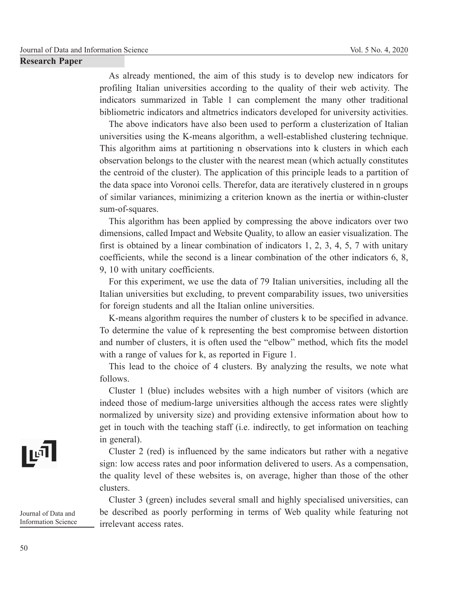As already mentioned, the aim of this study is to develop new indicators for profiling Italian universities according to the quality of their web activity. The indicators summarized in Table 1 can complement the many other traditional bibliometric indicators and altmetrics indicators developed for university activities.

The above indicators have also been used to perform a clusterization of Italian universities using the K-means algorithm, a well-established clustering technique. This algorithm aims at partitioning n observations into k clusters in which each observation belongs to the cluster with the nearest mean (which actually constitutes the centroid of the cluster). The application of this principle leads to a partition of the data space into Voronoi cells. Therefor, data are iteratively clustered in n groups of similar variances, minimizing a criterion known as the inertia or within-cluster sum-of-squares.

This algorithm has been applied by compressing the above indicators over two dimensions, called Impact and Website Quality, to allow an easier visualization. The first is obtained by a linear combination of indicators 1, 2, 3, 4, 5, 7 with unitary coefficients, while the second is a linear combination of the other indicators 6, 8, 9, 10 with unitary coefficients.

For this experiment, we use the data of 79 Italian universities, including all the Italian universities but excluding, to prevent comparability issues, two universities for foreign students and all the Italian online universities.

K-means algorithm requires the number of clusters k to be specified in advance. To determine the value of k representing the best compromise between distortion and number of clusters, it is often used the "elbow" method, which fits the model with a range of values for k, as reported in Figure 1.

This lead to the choice of 4 clusters. By analyzing the results, we note what follows.

Cluster 1 (blue) includes websites with a high number of visitors (which are indeed those of medium-large universities although the access rates were slightly normalized by university size) and providing extensive information about how to get in touch with the teaching staff (i.e. indirectly, to get information on teaching in general).

Cluster 2 (red) is influenced by the same indicators but rather with a negative sign: low access rates and poor information delivered to users. As a compensation, the quality level of these websites is, on average, higher than those of the other clusters.

Cluster 3 (green) includes several small and highly specialised universities, can be described as poorly performing in terms of Web quality while featuring not irrelevant access rates.

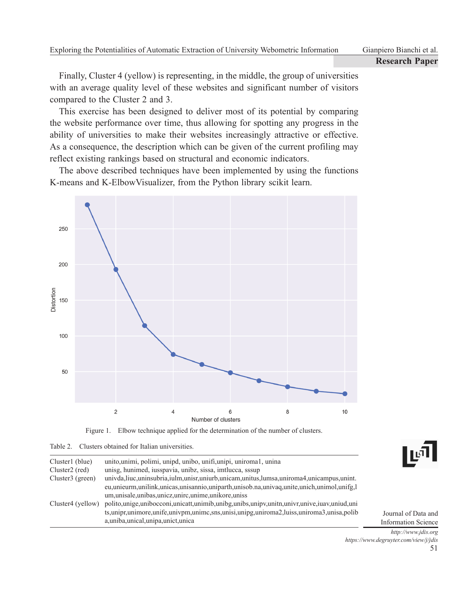Finally, Cluster 4 (yellow) is representing, in the middle, the group of universities with an average quality level of these websites and significant number of visitors compared to the Cluster 2 and 3.

This exercise has been designed to deliver most of its potential by comparing the website performance over time, thus allowing for spotting any progress in the ability of universities to make their websites increasingly attractive or effective. As a consequence, the description which can be given of the current profiling may reflect existing rankings based on structural and economic indicators.

The above described techniques have been implemented by using the functions K-means and K-ElbowVisualizer, from the Python library scikit learn.



Figure 1. Elbow technique applied for the determination of the number of clusters.

| Table 2. Clusters obtained for Italian universities. |  |
|------------------------------------------------------|--|
|------------------------------------------------------|--|

| Cluster1 (blue)   | unito, unimi, polimi, unipd, unibo, unifi, unipi, uniromal, unina                                      |
|-------------------|--------------------------------------------------------------------------------------------------------|
| Cluster2 (red)    | unisg, hunimed, iusspavia, unibz, sissa, imtlucca, sssup                                               |
| Cluster3 (green)  | univda, liuc, uninsubria, iulm, unisr, uniurb, unicam, unitus, lumsa, uniroma4, unicampus, unint.      |
|                   | eu, unieurm, unilink, unicas, unisannio, uniparth, unisob.na, univag, unite, unich, unimol, unifg, l   |
|                   | um, unisale, unibas, unicz, unirc, unime, unikore, uniss                                               |
| Cluster4 (yellow) | polito, unige, unibocconi, unicatt, unimib, unibg, unibs, unipv, unitn, univr, unive, iuav, uniud, uni |
|                   | ts, unipr, unimore, unife, univpm, unime, sns, unisi, unipg, uniroma2, luiss, uniroma3, unisa, polib   |
|                   | a, uniba, unical, unipa, unict, unica                                                                  |



Journal of Data and Information Science

51 *http://www.jdis.org https://www.degruyter.com/view/j/jdis*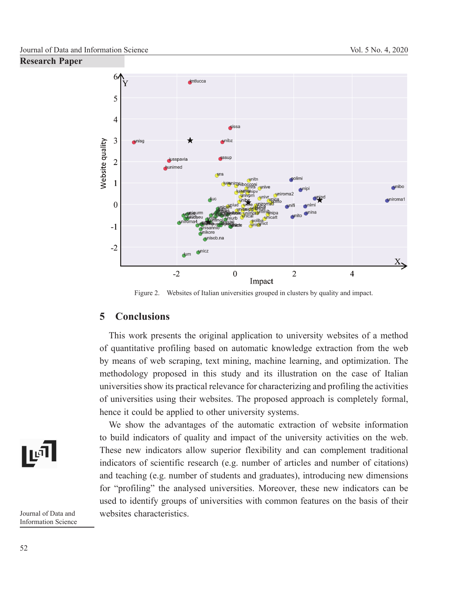

Figure 2. Websites of Italian universities grouped in clusters by quality and impact.

## **5 Conclusions**

This work presents the original application to university websites of a method of quantitative profiling based on automatic knowledge extraction from the web by means of web scraping, text mining, machine learning, and optimization. The methodology proposed in this study and its illustration on the case of Italian universities show its practical relevance for characterizing and profiling the activities of universities using their websites. The proposed approach is completely formal, hence it could be applied to other university systems.

We show the advantages of the automatic extraction of website information to build indicators of quality and impact of the university activities on the web. These new indicators allow superior flexibility and can complement traditional indicators of scientific research (e.g. number of articles and number of citations) and teaching (e.g. number of students and graduates), introducing new dimensions for "profiling" the analysed universities. Moreover, these new indicators can be used to identify groups of universities with common features on the basis of their websites characteristics.

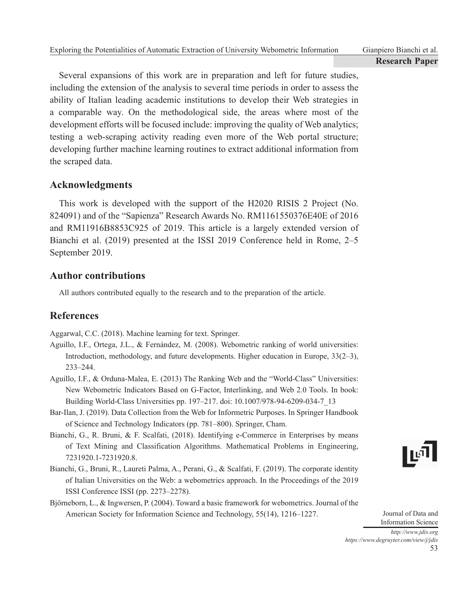Several expansions of this work are in preparation and left for future studies, including the extension of the analysis to several time periods in order to assess the ability of Italian leading academic institutions to develop their Web strategies in a comparable way. On the methodological side, the areas where most of the development efforts will be focused include: improving the quality of Web analytics; testing a web-scraping activity reading even more of the Web portal structure; developing further machine learning routines to extract additional information from the scraped data.

# **Acknowledgments**

This work is developed with the support of the H2020 RISIS 2 Project (No. 824091) and of the "Sapienza" Research Awards No. RM1161550376E40E of 2016 and RM11916B8853C925 of 2019. This article is a largely extended version of Bianchi et al. (2019) presented at the ISSI 2019 Conference held in Rome, 2–5 September 2019.

# **Author contributions**

All authors contributed equally to the research and to the preparation of the article.

# **References**

Aggarwal, C.C. (2018). Machine learning for text. Springer.

- Aguillo, I.F., Ortega, J.L., & Fernández, M. (2008). Webometric ranking of world universities: Introduction, methodology, and future developments. Higher education in Europe, 33(2–3), 233–244.
- Aguillo, I.F., & Orduna-Malea, E. (2013) The Ranking Web and the "World-Class" Universities: New Webometric Indicators Based on G-Factor, Interlinking, and Web 2.0 Tools. In book: Building World-Class Universities pp. 197–217. doi: 10.1007/978-94-6209-034-7\_13
- Bar-Ilan, J. (2019). Data Collection from the Web for Informetric Purposes. In Springer Handbook of Science and Technology Indicators (pp. 781–800). Springer, Cham.
- Bianchi, G., R. Bruni, & F. Scalfati, (2018). Identifying e-Commerce in Enterprises by means of Text Mining and Classification Algorithms. Mathematical Problems in Engineering, 7231920.1-7231920.8.
- Bianchi, G., Bruni, R., Laureti Palma, A., Perani, G., & Scalfati, F. (2019). The corporate identity of Italian Universities on the Web: a webometrics approach. In the Proceedings of the 2019 ISSI Conference ISSI (pp. 2273–2278).
- Björneborn, L., & Ingwersen, P. (2004). Toward a basic framework for webometrics. Journal of the American Society for Information Science and Technology, 55(14), 1216–1227.

Journal of Data and Information Science

ا¤ا|

*http://www.jdis.org https://www.degruyter.com/view/j/jdis*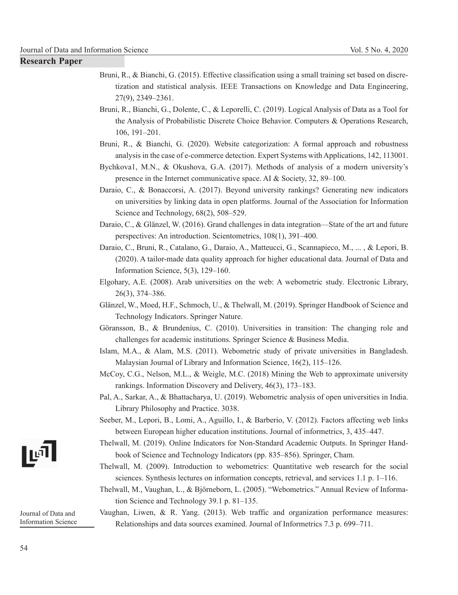- **Research Paper**
- Bruni, R., & Bianchi, G. (2015). Effective classification using a small training set based on discretization and statistical analysis. IEEE Transactions on Knowledge and Data Engineering, 27(9), 2349–2361.
- Bruni, R., Bianchi, G., Dolente, C., & Leporelli, C. (2019). Logical Analysis of Data as a Tool for the Analysis of Probabilistic Discrete Choice Behavior. Computers & Operations Research, 106, 191–201.
- Bruni, R., & Bianchi, G. (2020). Website categorization: A formal approach and robustness analysis in the case of e-commerce detection. Expert Systems with Applications, 142, 113001.
- Bychkova1, M.N., & Okushova, G.A. (2017). Methods of analysis of a modern university's presence in the Internet communicative space. AI & Society, 32, 89–100.
- Daraio, C., & Bonaccorsi, A. (2017). Beyond university rankings? Generating new indicators on universities by linking data in open platforms. Journal of the Association for Information Science and Technology,  $68(2)$ ,  $508-529$ .
- Daraio, C., & Glänzel, W. (2016). Grand challenges in data integration—State of the art and future perspectives: An introduction. Scientometrics, 108(1), 391–400.
- Daraio, C., Bruni, R., Catalano, G., Daraio, A., Matteucci, G., Scannapieco, M., ... , & Lepori, B. (2020). A tailor-made data quality approach for higher educational data. Journal of Data and Information Science, 5(3), 129–160.
- Elgohary, A.E. (2008). Arab universities on the web: A webometric study. Electronic Library, 26(3), 374–386.
- Glänzel, W., Moed, H.F., Schmoch, U., & Thelwall, M. (2019). Springer Handbook of Science and Technology Indicators. Springer Nature.
- Göransson, B., & Brundenius, C. (2010). Universities in transition: The changing role and challenges for academic institutions. Springer Science & Business Media.
- Islam, M.A., & Alam, M.S. (2011). Webometric study of private universities in Bangladesh. Malaysian Journal of Library and Information Science, 16(2), 115–126.
- McCoy, C.G., Nelson, M.L., & Weigle, M.C. (2018) Mining the Web to approximate university rankings. Information Discovery and Delivery, 46(3), 173–183.
- Pal, A., Sarkar, A., & Bhattacharya, U. (2019). Webometric analysis of open universities in India. Library Philosophy and Practice. 3038.
- Seeber, M., Lepori, B., Lomi, A., Aguillo, I., & Barberio, V. (2012). Factors affecting web links between European higher education institutions. Journal of informetrics, 3, 435–447.
- Thelwall, M. (2019). Online Indicators for Non-Standard Academic Outputs. In Springer Handbook of Science and Technology Indicators (pp. 835–856). Springer, Cham.
- Thelwall, M. (2009). Introduction to webometrics: Quantitative web research for the social sciences. Synthesis lectures on information concepts, retrieval, and services 1.1 p. 1–116.
- Thelwall, M., Vaughan, L., & Björneborn, L. (2005). "Webometrics." Annual Review of Information Science and Technology 39.1 p. 81–135.

## Vaughan, Liwen, & R. Yang. (2013). Web traffic and organization performance measures: Relationships and data sources examined. Journal of Informetrics 7.3 p. 699–711.

∎⊡